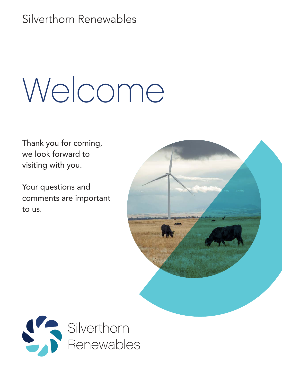Silverthorn Renewables

# Welcome

Thank you for coming, we look forward to visiting with you.

Your questions and comments are important to us.



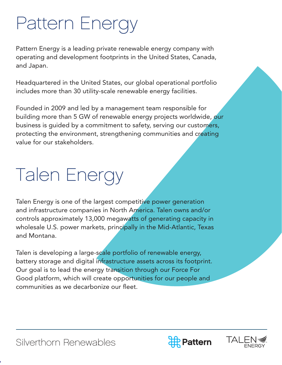### Pattern Energy

Pattern Energy is a leading private renewable energy company with operating and development footprints in the United States, Canada, and Japan.

Headquartered in the United States, our global operational portfolio includes more than 30 utility-scale renewable energy facilities.

Founded in 2009 and led by a management team responsible for building more than 5 GW of renewable energy projects worldwide, our business is guided by a commitment to safety, serving our customers, protecting the environment, strengthening communities and creating value for our stakeholders.

## Talen Energy

Talen Energy is one of the largest competitive power generation and infrastructure companies in North America. Talen owns and/or controls approximately 13,000 megawatts of generating capacity in wholesale U.S. power markets, principally in the Mid-Atlantic, Texas and Montana.

Talen is developing a large-scale portfolio of renewable energy, battery storage and digital infrastructure assets across its footprint. Our goal is to lead the energy transition through our Force For Good platform, which will create opportunities for our people and communities as we decarbonize our fleet.



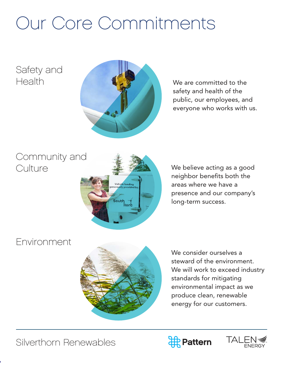### Our Core Commitments

#### Safety and Health



We are committed to the safety and health of the public, our employees, and everyone who works with us.

#### Community and **Culture**



We believe acting as a good neighbor benefits both the areas where we have a presence and our company's long-term success.

#### Environment



We consider ourselves a steward of the environment. We will work to exceed industry standards for mitigating environmental impact as we produce clean, renewable energy for our customers.



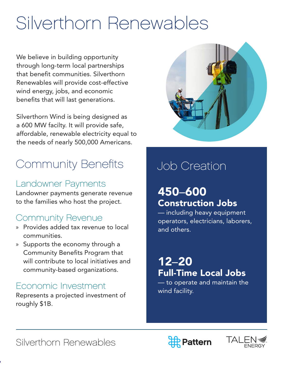### Silverthorn Renewables

We believe in building opportunity through long-term local partnerships that benefit communities. Silverthorn Renewables will provide cost-effective wind energy, jobs, and economic benefits that will last generations.

Silverthorn Wind is being designed as a 600 MW facilty. It will provide safe, affordable, renewable electricity equal to the needs of nearly 500,000 Americans.

#### Community Benefits | Job Creation

#### Landowner Payments

Landowner payments generate revenue to the families who host the project.

#### Community Revenue

- » Provides added tax revenue to local communities.
- » Supports the economy through a Community Benefits Program that will contribute to local initiatives and community-based organizations.

#### Economic Investment

Represents a projected investment of roughly \$1B.



#### 450–600 Construction Jobs

— including heavy equipment operators, electricians, laborers, and others.

#### 12–20 Full-Time Local Jobs

— to operate and maintain the wind facility.





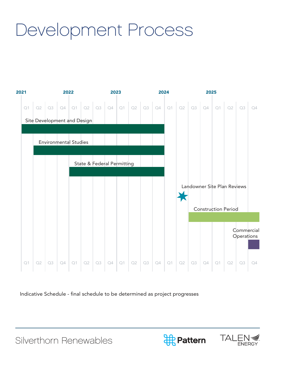### Development Process

![](_page_4_Figure_1.jpeg)

Indicative Schedule - final schedule to be determined as project progresses

![](_page_4_Picture_4.jpeg)

![](_page_4_Picture_5.jpeg)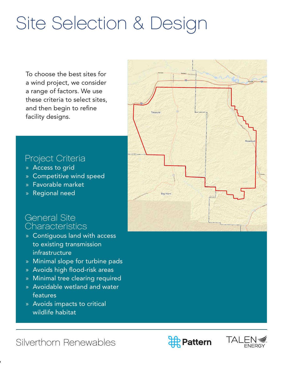### Site Selection & Design

To choose the best sites for a wind project, we consider a range of factors. We use these criteria to select sites, and then begin to refine facility designs.

#### Project Criteria

- » Access to grid
- » Competitive wind speed
- » Favorable market
- » Regional need

#### General Site **Characteristics**

- » Contiguous land with access to existing transmission infrastructure
- » Minimal slope for turbine pads
- » Avoids high flood-risk areas
- » Minimal tree clearing required
- » Avoidable wetland and water features
- » Avoids impacts to critical wildlife habitat

![](_page_5_Figure_14.jpeg)

![](_page_5_Picture_16.jpeg)

![](_page_5_Picture_17.jpeg)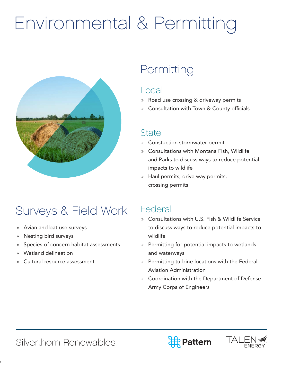### Environmental & Permitting

![](_page_6_Picture_1.jpeg)

#### Permitting

#### Local

- » Road use crossing & driveway permits
- » Consultation with Town & County officials

#### **State**

- » Constuction stormwater permit
- » Consultations with Montana Fish, Wildlife and Parks to discuss ways to reduce potential impacts to wildlife
- » Haul permits, drive way permits, crossing permits

### Surveys & Field Work

- » Avian and bat use surveys
- » Nesting bird surveys
- » Species of concern habitat assessments
- » Wetland delineation
- Cultural resource assessment

#### Federal

- » Consultations with U.S. Fish & Wildlife Service to discuss ways to reduce potential impacts to wildlife
- » Permitting for potential impacts to wetlands and waterways
- » Permitting turbine locations with the Federal Aviation Administration
- » Coordination with the Department of Defense Army Corps of Engineers

![](_page_6_Picture_22.jpeg)

![](_page_6_Picture_23.jpeg)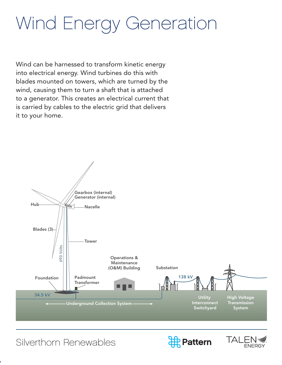### Wind Energy Generation

Wind can be harnessed to transform kinetic energy into electrical energy. Wind turbines do this with blades mounted on towers, which are turned by the wind, causing them to turn a shaft that is attached to a generator. This creates an electrical current that is carried by cables to the electric grid that delivers it to your home.

![](_page_7_Figure_2.jpeg)

![](_page_7_Picture_4.jpeg)

![](_page_7_Picture_5.jpeg)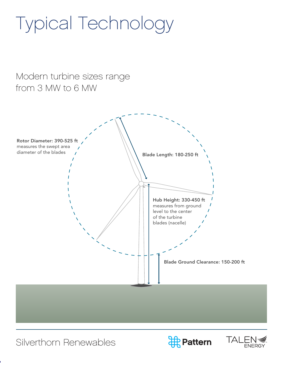### Typical Technology

#### Modern turbine sizes range from 3 MW to 6 MW

![](_page_8_Picture_2.jpeg)

![](_page_8_Picture_4.jpeg)

![](_page_8_Picture_5.jpeg)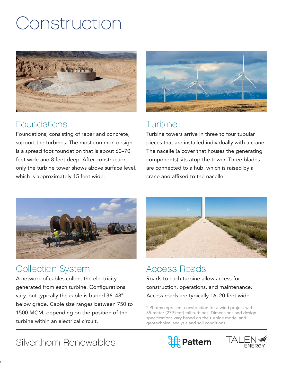### Construction

![](_page_9_Picture_1.jpeg)

#### Foundations

Foundations, consisting of rebar and concrete, support the turbines. The most common design is a spread foot foundation that is about 60–70 feet wide and 8 feet deep. After construction only the turbine tower shows above surface level, which is approximately 15 feet wide.

![](_page_9_Picture_4.jpeg)

#### **Turbine**

Turbine towers arrive in three to four tubular pieces that are installed individually with a crane. The nacelle (a cover that houses the generating components) sits atop the tower. Three blades are connected to a hub, which is raised by a crane and affixed to the nacelle.

![](_page_9_Picture_7.jpeg)

#### Collection System

A network of cables collect the electricity generated from each turbine. Configurations vary, but typically the cable is buried 36–48" below grade. Cable size ranges between 750 to 1500 MCM, depending on the position of the turbine within an electrical circuit.

![](_page_9_Picture_10.jpeg)

#### Access Roads

Roads to each turbine allow access for construction, operations, and maintenance. Access roads are typically 16–20 feet wide.

\* Photos represent construction for a wind project with 85-meter (279 feet) tall turbines. Dimensions and design specifications vary based on the turbine model and geotechnical analysis and soil conditions.

![](_page_9_Picture_15.jpeg)

![](_page_9_Picture_16.jpeg)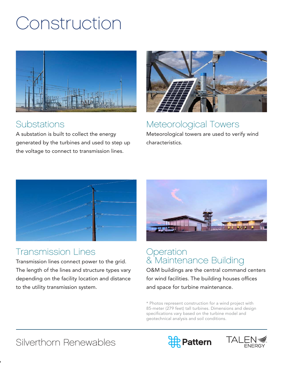### Construction

![](_page_10_Picture_1.jpeg)

#### Substations

A substation is built to collect the energy generated by the turbines and used to step up the voltage to connect to transmission lines.

![](_page_10_Picture_4.jpeg)

#### Meteorological Towers

Meteorological towers are used to verify wind characteristics.

![](_page_10_Picture_7.jpeg)

#### Transmission Lines

Transmission lines connect power to the grid. The length of the lines and structure types vary depending on the facility location and distance to the utility transmission system.

![](_page_10_Picture_10.jpeg)

#### Operation & Maintenance Building

O&M buildings are the central command centers for wind facilities. The building houses offices and space for turbine maintenance.

\* Photos represent construction for a wind project with 85-meter (279 feet) tall turbines. Dimensions and design specifications vary based on the turbine model and geotechnical analysis and soil conditions.

![](_page_10_Picture_15.jpeg)

![](_page_10_Picture_16.jpeg)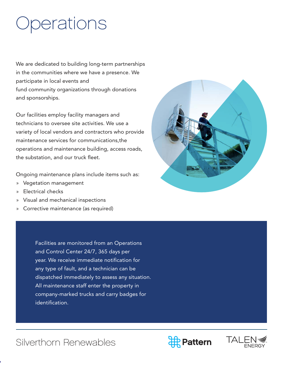### **Operations**

We are dedicated to building long-term partnerships in the communities where we have a presence. We participate in local events and fund community organizations through donations and sponsorships.

Our facilities employ facility managers and technicians to oversee site activities. We use a variety of local vendors and contractors who provide maintenance services for communications,the operations and maintenance building, access roads, the substation, and our truck fleet.

Ongoing maintenance plans include items such as:

- » Vegetation management
- » Electrical checks
- » Visual and mechanical inspections
- » Corrective maintenance (as required)

Facilities are monitored from an Operations and Control Center 24/7, 365 days per year. We receive immediate notification for any type of fault, and a technician can be dispatched immediately to assess any situation. All maintenance staff enter the property in company-marked trucks and carry badges for identification.

![](_page_11_Picture_9.jpeg)

![](_page_11_Picture_11.jpeg)

![](_page_11_Picture_12.jpeg)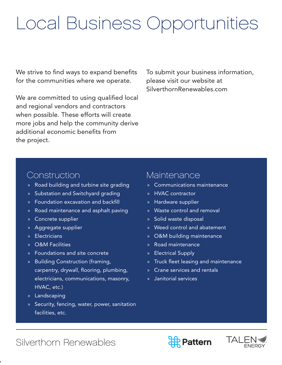### Local Business Opportunities

We strive to find ways to expand benefits for the communities where we operate.

We are committed to using qualified local and regional vendors and contractors when possible. These efforts will create more jobs and help the community derive additional economic benefits from the project.

To submit your business information, please visit our website at SilverthornRenewables.com

#### Construction

- » Road building and turbine site grading
- » Substation and Switchyard grading
- » Foundation excavation and backfill
- » Road maintenance and asphalt paving
- » Concrete supplier
- » Aggregate supplier
- » Electricians
- » O&M Facilities
- » Foundations and site concrete
- » Building Construction (framing, carpentry, drywall, flooring, plumbing, electricians, communications, masonry, HVAC, etc.)
- » Landscaping
- » Security, fencing, water, power, sanitation facilities, etc.

#### Maintenance

- » Communications maintenance
- » HVAC contractor
- » Hardware supplier
- » Waste control and removal
- » Solid waste disposal
- » Weed control and abatement
- » O&M building maintenance
- » Road maintenance
- » Electrical Supply
- » Truck fleet leasing and maintenance
- » Crane services and rentals
- » Janitorial services

![](_page_12_Picture_30.jpeg)

![](_page_12_Picture_31.jpeg)

![](_page_12_Picture_32.jpeg)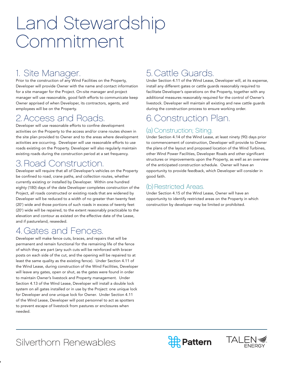### Land Stewardship Commitment

#### 1. Site Manager.

Prior to the construction of any Wind Facilities on the Property, Developer will provide Owner with the name and contact information for a site manager for the Project. On-site manager and project manager will use reasonable, good faith efforts to communicate keep Owner apprised of when Developer, its contractors, agents, and employees will be on the Property.

#### 2. Access and Roads.

Developer will use reasonable efforts to confine development activities on the Property to the access and/or crane routes shown in the site plan provided to Owner and to the areas where development activities are occurring. Developer will use reasonable efforts to use roads existing on the Property. Developer will also regularly maintain existing roads during the construction period at a set frequency.

#### 3. Road Construction.

Developer will require that all of Developer's vehicles on the Property be confined to road, crane paths, and collection routes, whether currently existing or installed by Developer. Within one hundred eighty (180) days of the date Developer completes construction of the Project, all roads constructed or existing roads that are widened by Developer will be reduced to a width of no greater than twenty feet (20') wide and those portions of such roads in excess of twenty feet (20') wide will be repaired, to the extent reasonably practicable to the elevation and contour as existed on the effective date of the Lease, and if pastureland, reseeded.

#### 4. Gates and Fences.

Developer will make fence cuts, braces, and repairs that will be permanent and remain functional for the remaining life of the fence of which they are part (any such cuts will be reinforced with bracer posts on each side of the cut, and the opening will be repaired to at least the same quality as the existing fence). Under Section 4.11 of the Wind Lease, during construction of the Wind Facilities, Developer will leave any gates, open or shut, as the gates were found in order to maintain Owner's livestock and Property management. Under Section 4.13 of the Wind Lease, Developer will install a double lock system on all gates installed or in use by the Project: one unique lock for Developer and one unique lock for Owner. Under Section 4.11 of the Wind Lease, Developer will post personnel to act as spotters to prevent escape of livestock from pastures or enclosures when needed.

#### 5. Cattle Guards.

Under Section 4.11 of the Wind Lease, Developer will, at its expense, install any different gates or cattle guards reasonably required to facilitate Developer's operations on the Property, together with any additional measures reasonably required for the control of Owner's livestock. Developer will maintain all existing and new cattle guards during the construction process to ensure working order.

#### 6. Construction Plan.

#### (a) Construction; Siting.

Under Section 4.14 of the Wind Lease, at least ninety (90) days prior to commencement of construction, Developer will provide to Owner the plans of the layout and proposed location of the Wind Turbines, other Wind Power Facilities, Developer Roads and other significant structures or improvements upon the Property, as well as an overview of the anticipated construction schedule. Owner will have an opportunity to provide feedback, which Developer will consider in good faith.

#### (b) Restricted Areas.

Under Section 4.15 of the Wind Lease, Owner will have an opportunity to identify restricted areas on the Property in which construction by developer may be limited or prohibited.

![](_page_13_Picture_16.jpeg)

![](_page_13_Picture_17.jpeg)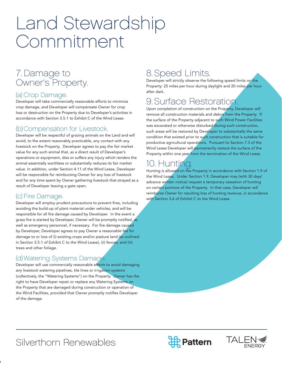### Land Stewardship Commitment

#### 7. Damage to Owner's Property.

#### (a) Crop Damage.

Developer will take commercially reasonable efforts to minimize crop damage, and Developer will compensate Owner for crop loss or destruction on the Property due to Developer's activities in accordance with Section 3.5.1 to Exhibit C of the Wind Lease.

#### (b) Compensation for Livestock.

Developer will be respectful of grazing animals on the Land and will avoid, to the extent reasonably practicable, any contact with any livestock on the Property. Developer agrees to pay the fair market value for any such animal that, as a direct result of Developer's operations or equipment, dies or suffers any injury which renders the animal essentially worthless or substantially reduces its fair market value. In addition, under Section 4.11 of the Wind Lease, Developer will be responsible for reimbursing Owner for any loss of livestock and for any time spent by Owner gathering livestock that strayed as a result of Developer leaving a gate open.

#### (c) Fire Damage.

Developer will employ prudent precautions to prevent fires, including avoiding the build-up of plant material under vehicles, and will be responsible for all fire damage caused by Developer. In the event a grass fire is started by Developer, Owner will be promptly notified, as well as emergency personnel, if necessary. For fire damage caused by Developer, Developer agrees to pay Owner a reasonable fee for damage to or loss of (i) existing crops and/or pasture land (as outlined in Section 3.5.1 of Exhibit C to the Wind Lease), (ii) fences, and (iii) trees and other foliage.

#### (d) Watering Systems Damage.

Developer will use commercially reasonable efforts to avoid damaging any livestock watering pipelines, tile lines or irrigation systems (collectively, the "Watering Systems") on the Property. Owner has the right to have Developer repair or replace any Watering Systems on the Property that are damaged during construction or operation of the Wind Facilities, provided that Owner promptly notifies Developer of the damage.

#### 8. Speed Limits.

Developer will strictly observe the following speed limits on the Property: 25 miles per hour during daylight and 20 miles per hour after dark.

#### 9. Surface Restoration.

Upon completion of construction on the Property, Developer will remove all construction materials and debris from the Property. If the surface of the Property adjacent to such Wind Power Facilities was excavated or otherwise disturbed during such construction, such areas will be restored by Developer to substantially the same condition that existed prior to such construction that is suitable for productive agricultural operations. Pursuant to Section 7.3 of the Wind Lease Developer will permanently restore the surface of the Property within one year from the termination of the Wind Lease.

#### 10. Hunting.

Hunting is allowed on the Property in accordance with Section 1.9 of the Wind Lease. Under Section 1.9, Developer may (with 30 days' advance written notice) request a temporary cessation of hunting on certain portions of the Property. In that case, Developer will reimburse Owner for resulting loss of hunting revenue, in accordance with Section 3.6 of Exhibit C to the Wind Lease.

![](_page_14_Picture_16.jpeg)

![](_page_14_Picture_17.jpeg)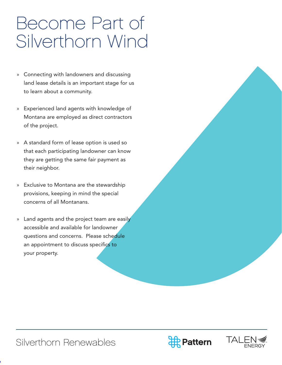### Become Part of Silverthorn Wind

- » Connecting with landowners and discussing land lease details is an important stage for us to learn about a community.
- » Experienced land agents with knowledge of Montana are employed as direct contractors of the project.
- » A standard form of lease option is used so that each participating landowner can know they are getting the same fair payment as their neighbor.
- » Exclusive to Montana are the stewardship provisions, keeping in mind the special concerns of all Montanans.
- » Land agents and the project team are easily accessible and available for landowner questions and concerns. Please schedule an appointment to discuss specifics to your property.

![](_page_15_Picture_7.jpeg)

![](_page_15_Picture_8.jpeg)